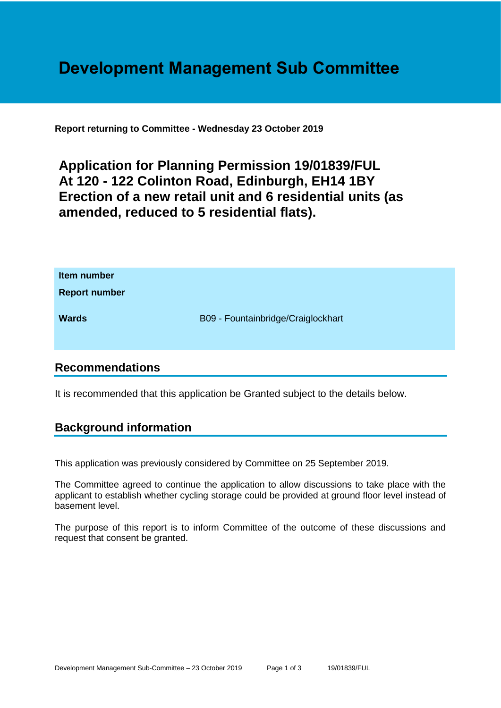# **Development Management Sub Committee**

**Report returning to Committee - Wednesday 23 October 2019**

## **Application for Planning Permission 19/01839/FUL At 120 - 122 Colinton Road, Edinburgh, EH14 1BY Erection of a new retail unit and 6 residential units (as amended, reduced to 5 residential flats).**

| Item number<br><b>Report number</b> |                                    |
|-------------------------------------|------------------------------------|
| <b>Wards</b>                        | B09 - Fountainbridge/Craiglockhart |

## **Recommendations**

It is recommended that this application be Granted subject to the details below.

## **Background information**

This application was previously considered by Committee on 25 September 2019.

The Committee agreed to continue the application to allow discussions to take place with the applicant to establish whether cycling storage could be provided at ground floor level instead of basement level.

The purpose of this report is to inform Committee of the outcome of these discussions and request that consent be granted.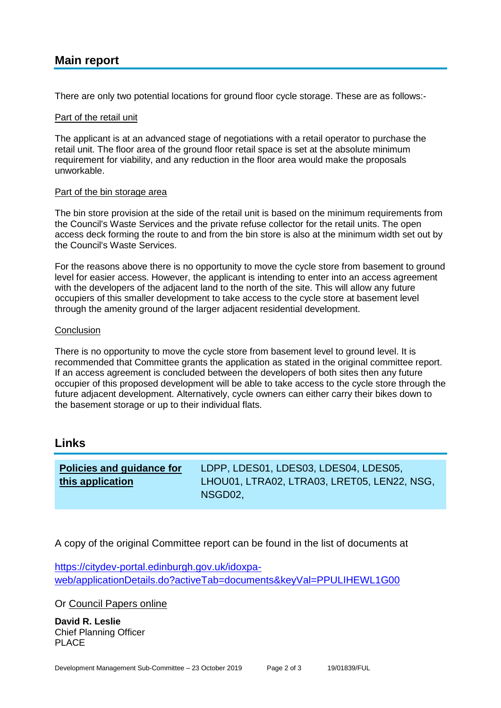## **Main report**

There are only two potential locations for ground floor cycle storage. These are as follows:-

#### Part of the retail unit

The applicant is at an advanced stage of negotiations with a retail operator to purchase the retail unit. The floor area of the ground floor retail space is set at the absolute minimum requirement for viability, and any reduction in the floor area would make the proposals unworkable.

#### Part of the bin storage area

The bin store provision at the side of the retail unit is based on the minimum requirements from the Council's Waste Services and the private refuse collector for the retail units. The open access deck forming the route to and from the bin store is also at the minimum width set out by the Council's Waste Services.

For the reasons above there is no opportunity to move the cycle store from basement to ground level for easier access. However, the applicant is intending to enter into an access agreement with the developers of the adjacent land to the north of the site. This will allow any future occupiers of this smaller development to take access to the cycle store at basement level through the amenity ground of the larger adjacent residential development.

#### **Conclusion**

There is no opportunity to move the cycle store from basement level to ground level. It is recommended that Committee grants the application as stated in the original committee report. If an access agreement is concluded between the developers of both sites then any future occupier of this proposed development will be able to take access to the cycle store through the future adjacent development. Alternatively, cycle owners can either carry their bikes down to the basement storage or up to their individual flats.

#### **Links**

| Policies and guidance for | LDPP, LDES01, LDES03, LDES04, LDES05,       |
|---------------------------|---------------------------------------------|
| this application          | LHOU01, LTRA02, LTRA03, LRET05, LEN22, NSG, |
|                           | NSGD02.                                     |

A copy of the original Committee report can be found in the list of documents at

[https://citydev-portal.edinburgh.gov.uk/idoxpa](https://citydev-portal.edinburgh.gov.uk/idoxpa-web/applicationDetails.do?activeTab=documents&keyVal=PPULIHEWL1G00)[web/applicationDetails.do?activeTab=documents&keyVal=PPULIHEWL1G00](https://citydev-portal.edinburgh.gov.uk/idoxpa-web/applicationDetails.do?activeTab=documents&keyVal=PPULIHEWL1G00)

Or [Council Papers online](http://www.edinburgh.gov.uk/cpol)

**David R. Leslie** Chief Planning Officer PLACE